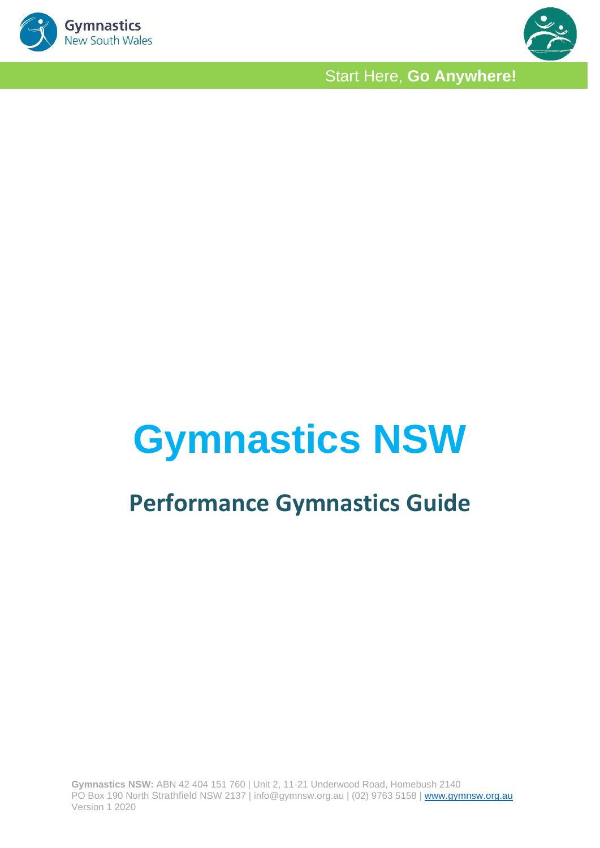



# **Gymnastics NSW**

# **Performance Gymnastics Guide**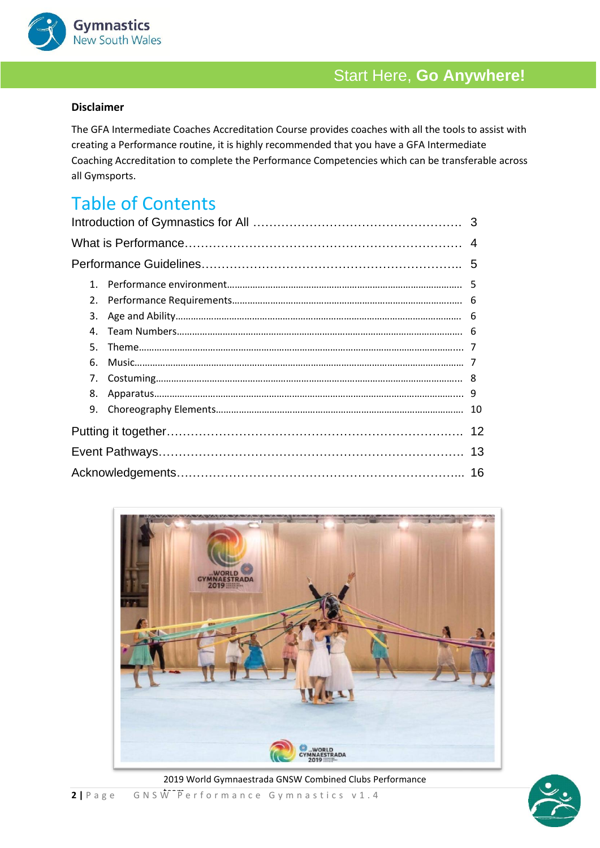

### **Disclaimer**

The GFA Intermediate Coaches Accreditation Course provides coaches with all the tools to assist with creating a Performance routine, it is highly recommended that you have a GFA Intermediate Coaching Accreditation to complete the Performance Competencies which can be transferable across all Gymsports.

### Table of Contents

| 1 <sup>1</sup> |  |    |
|----------------|--|----|
| 2.             |  |    |
| 3.             |  |    |
| $\mathbf{4}$   |  |    |
| 5.             |  |    |
| 6.             |  |    |
| 7.             |  |    |
| 8.             |  |    |
| 9.             |  |    |
|                |  |    |
|                |  | 13 |
|                |  |    |
|                |  |    |



2019 World Gymnaestrada GNSW Combined Clubs Performance

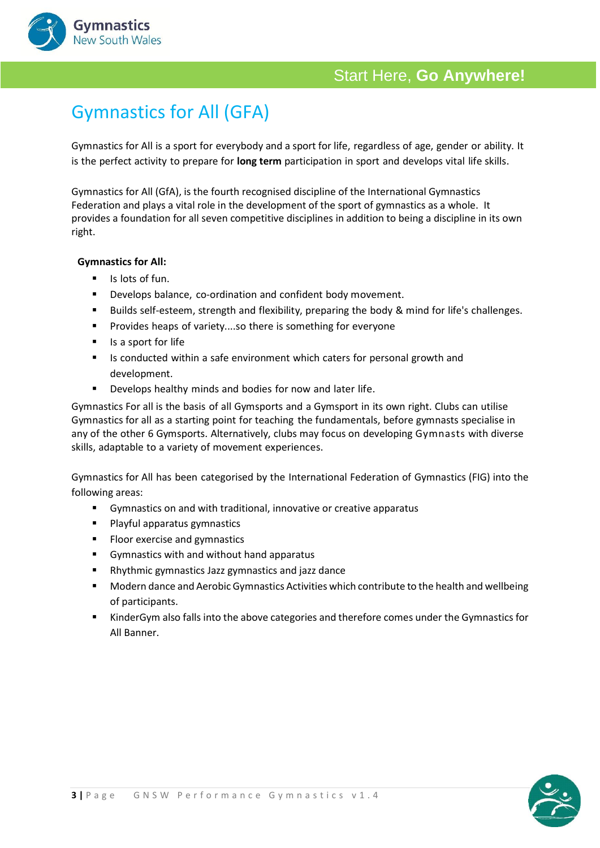



# Gymnastics for All (GFA)

Gymnastics for All is a sport for everybody and a sport for life, regardless of age, gender or ability. It is the perfect activity to prepare for **long term** participation in sport and develops vital life skills.

Gymnastics for All (GfA), is the fourth recognised discipline of the International Gymnastics Federation and plays a vital role in the development of the sport of gymnastics as a whole. It provides a foundation for all seven competitive disciplines in addition to being a discipline in its own right.

### **Gymnastics for All:**

- Is lots of fun.
- Develops balance, co-ordination and confident body movement.
- Builds self-esteem, strength and flexibility, preparing the body & mind for life's challenges.
- **■** Provides heaps of variety....so there is something for everyone
- Is a sport for life
- Is conducted within a safe environment which caters for personal growth and development.
- Develops healthy minds and bodies for now and later life.

Gymnastics For all is the basis of all Gymsports and a Gymsport in its own right. Clubs can utilise Gymnastics for all as a starting point for teaching the fundamentals, before gymnasts specialise in any of the other 6 Gymsports. Alternatively, clubs may focus on developing Gymnasts with diverse skills, adaptable to a variety of movement experiences.

Gymnastics for All has been categorised by the International Federation of Gymnastics (FIG) into the following areas:

- Gymnastics on and with traditional, innovative or creative apparatus
- Playful apparatus gymnastics
- Floor exercise and gymnastics
- Gymnastics with and without hand apparatus
- Rhythmic gymnastics Jazz gymnastics and jazz dance
- Modern dance and Aerobic Gymnastics Activities which contribute to the health and wellbeing of participants.
- KinderGym also falls into the above categories and therefore comes under the Gymnastics for All Banner.

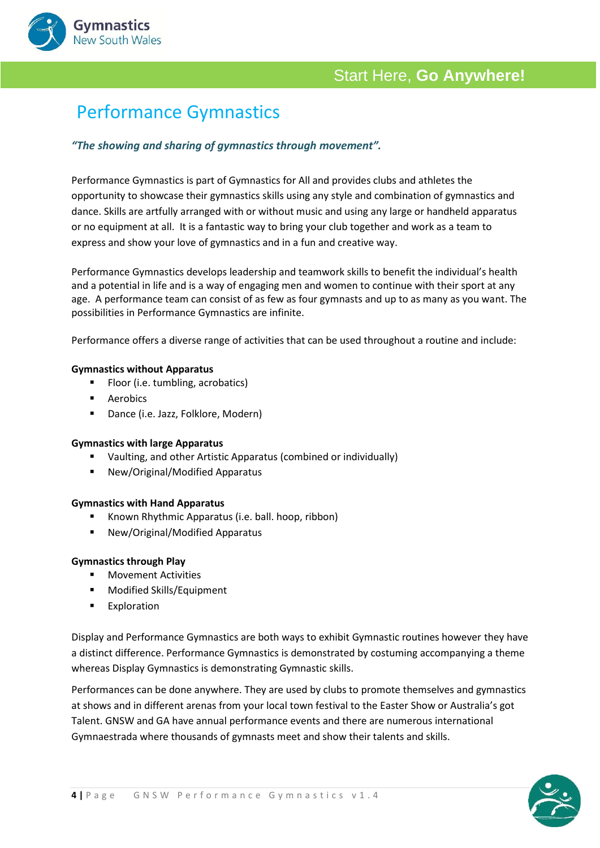

## Performance Gymnastics

### *"The showing and sharing of gymnastics through movement".*

Performance Gymnastics is part of Gymnastics for All and provides clubs and athletes the opportunity to showcase their gymnastics skills using any style and combination of gymnastics and dance. Skills are artfully arranged with or without music and using any large or handheld apparatus or no equipment at all. It is a fantastic way to bring your club together and work as a team to express and show your love of gymnastics and in a fun and creative way.

Performance Gymnastics develops leadership and teamwork skills to benefit the individual's health and a potential in life and is a way of engaging men and women to continue with their sport at any age. A performance team can consist of as few as four gymnasts and up to as many as you want. The possibilities in Performance Gymnastics are infinite.

Performance offers a diverse range of activities that can be used throughout a routine and include:

#### **Gymnastics without Apparatus**

- Floor (i.e. tumbling, acrobatics)
- Aerobics

**Gymnastics New South Wales** 

■ Dance (i.e. Jazz, Folklore, Modern)

#### **Gymnastics with large Apparatus**

- Vaulting, and other Artistic Apparatus (combined or individually)
- New/Original/Modified Apparatus

#### **Gymnastics with Hand Apparatus**

- Known Rhythmic Apparatus (i.e. ball. hoop, ribbon)
- New/Original/Modified Apparatus

#### **Gymnastics through Play**

- Movement Activities
- Modified Skills/Equipment
- Exploration

Display and Performance Gymnastics are both ways to exhibit Gymnastic routines however they have a distinct difference. Performance Gymnastics is demonstrated by costuming accompanying a theme whereas Display Gymnastics is demonstrating Gymnastic skills.

Performances can be done anywhere. They are used by clubs to promote themselves and gymnastics at shows and in different arenas from your local town festival to the Easter Show or Australia's got Talent. GNSW and GA have annual performance events and there are numerous international Gymnaestrada where thousands of gymnasts meet and show their talents and skills.

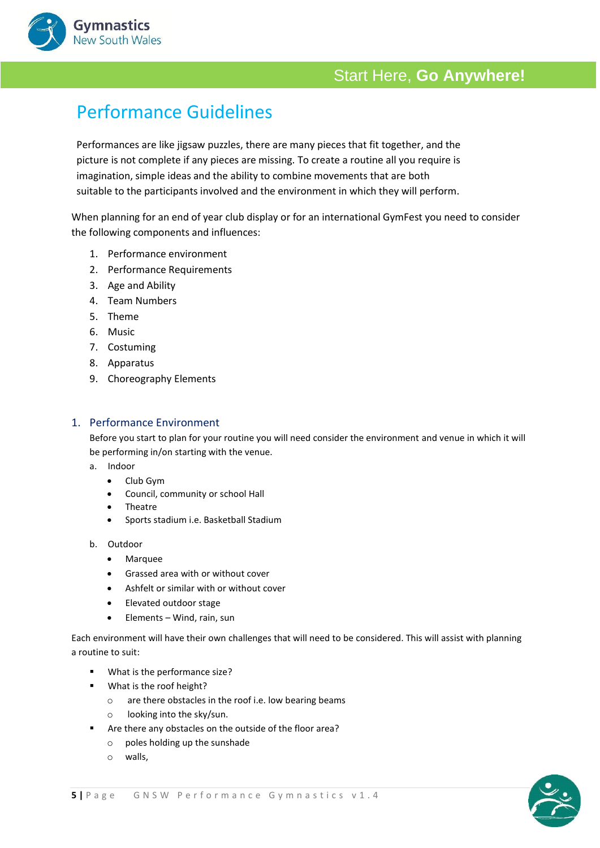# Performance Guidelines

Performances are like jigsaw puzzles, there are many pieces that fit together, and the picture is not complete if any pieces are missing. To create a routine all you require is imagination, simple ideas and the ability to combine movements that are both suitable to the participants involved and the environment in which they will perform.

When planning for an end of year club display or for an international GymFest you need to consider the following components and influences:

- 1. Performance environment
- 2. Performance Requirements
- 3. Age and Ability
- 4. Team Numbers
- 5. Theme

**Gymnastics** New South Wales

- 6. Music
- 7. Costuming
- 8. Apparatus
- 9. Choreography Elements

### 1. Performance Environment

Before you start to plan for your routine you will need consider the environment and venue in which it will be performing in/on starting with the venue.

- a. Indoor
	- Club Gym
	- Council, community or school Hall
	- Theatre
	- Sports stadium i.e. Basketball Stadium
- b. Outdoor
	- Marquee
	- Grassed area with or without cover
	- Ashfelt or similar with or without cover
	- Elevated outdoor stage
	- Elements Wind, rain, sun

Each environment will have their own challenges that will need to be considered. This will assist with planning a routine to suit:

- What is the performance size?
- What is the roof height?
	- o are there obstacles in the roof i.e. low bearing beams
	- o looking into the sky/sun.
- Are there any obstacles on the outside of the floor area?
	- o poles holding up the sunshade
	- o walls,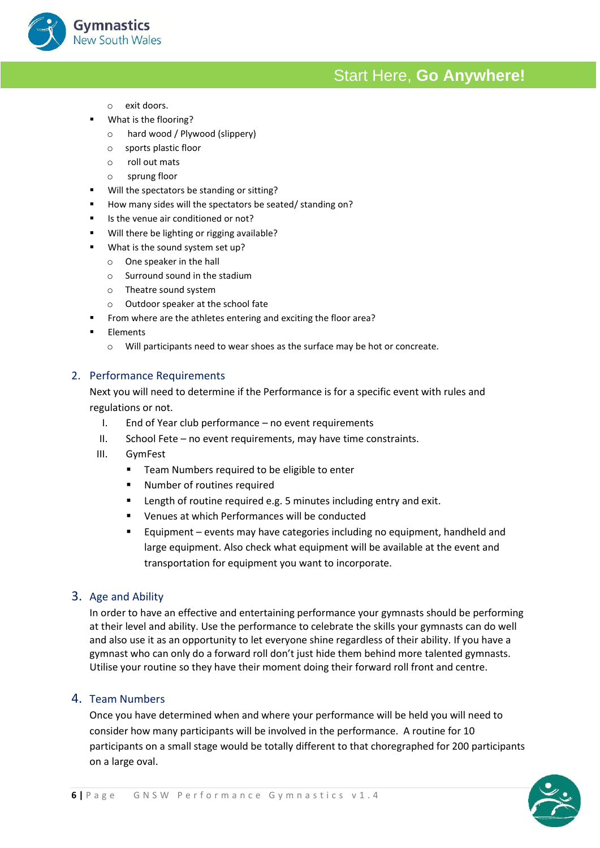o exit doors.

**Gymnastics New South Wales** 

- What is the flooring?
	- o hard wood / Plywood (slippery)
	- o sports plastic floor
	- o roll out mats
	- o sprung floor
- Will the spectators be standing or sitting?
- How many sides will the spectators be seated/ standing on?
- Is the venue air conditioned or not?
- Will there be lighting or rigging available?
- What is the sound system set up?
	- o One speaker in the hall
	- o Surround sound in the stadium
	- o Theatre sound system
	- o Outdoor speaker at the school fate
- From where are the athletes entering and exciting the floor area?
- Elements
	- o Will participants need to wear shoes as the surface may be hot or concreate.

### 2. Performance Requirements

Next you will need to determine if the Performance is for a specific event with rules and regulations or not.

- I. End of Year club performance no event requirements
- II. School Fete no event requirements, may have time constraints.
- III. GymFest
	- Team Numbers required to be eligible to enter
	- Number of routines required
	- Length of routine required e.g. 5 minutes including entry and exit.
	- Venues at which Performances will be conducted
	- Equipment events may have categories including no equipment, handheld and large equipment. Also check what equipment will be available at the event and transportation for equipment you want to incorporate.

### 3. Age and Ability

In order to have an effective and entertaining performance your gymnasts should be performing at their level and ability. Use the performance to celebrate the skills your gymnasts can do well and also use it as an opportunity to let everyone shine regardless of their ability. If you have a gymnast who can only do a forward roll don't just hide them behind more talented gymnasts. Utilise your routine so they have their moment doing their forward roll front and centre.

### 4. Team Numbers

Once you have determined when and where your performance will be held you will need to consider how many participants will be involved in the performance. A routine for 10 participants on a small stage would be totally different to that choregraphed for 200 participants on a large oval.

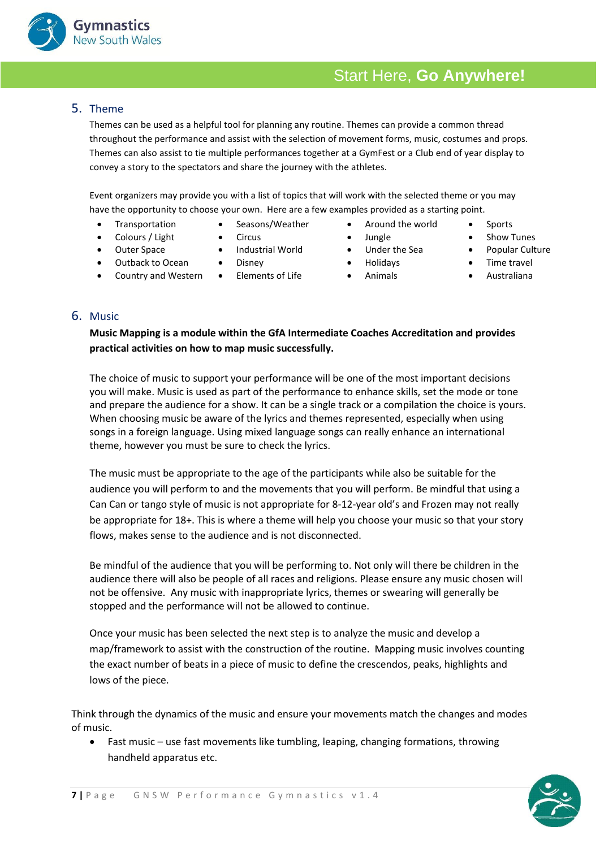### 5. Theme

Themes can be used as a helpful tool for planning any routine. Themes can provide a common thread throughout the performance and assist with the selection of movement forms, music, costumes and props. Themes can also assist to tie multiple performances together at a GymFest or a Club end of year display to convey a story to the spectators and share the journey with the athletes.

Event organizers may provide you with a list of topics that will work with the selected theme or you may have the opportunity to choose your own. Here are a few examples provided as a starting point.

- Transportation Seasons/Weather Around the world Sports
- Colours / Light Circus Jungle Show Tunes
- 
- Outback to Ocean Disney Holidays Holidays Time travel
- Country and Western Elements of Life Animals Australiana
- 
- 
- Outer Space Industrial World Under the Sea Popular Culture
	-
	-
- 
- 
- 
- 

### 6. Music

### **Music Mapping is a module within the GfA Intermediate Coaches Accreditation and provides practical activities on how to map music successfully.**

The choice of music to support your performance will be one of the most important decisions you will make. Music is used as part of the performance to enhance skills, set the mode or tone and prepare the audience for a show. It can be a single track or a compilation the choice is yours. When choosing music be aware of the lyrics and themes represented, especially when using songs in a foreign language. Using mixed language songs can really enhance an international theme, however you must be sure to check the lyrics.

The music must be appropriate to the age of the participants while also be suitable for the audience you will perform to and the movements that you will perform. Be mindful that using a Can Can or tango style of music is not appropriate for 8-12-year old's and Frozen may not really be appropriate for 18+. This is where a theme will help you choose your music so that your story flows, makes sense to the audience and is not disconnected.

Be mindful of the audience that you will be performing to. Not only will there be children in the audience there will also be people of all races and religions. Please ensure any music chosen will not be offensive. Any music with inappropriate lyrics, themes or swearing will generally be stopped and the performance will not be allowed to continue.

Once your music has been selected the next step is to analyze the music and develop a map/framework to assist with the construction of the routine. Mapping music involves counting the exact number of beats in a piece of music to define the crescendos, peaks, highlights and lows of the piece.

Think through the dynamics of the music and ensure your movements match the changes and modes of music.

• Fast music – use fast movements like tumbling, leaping, changing formations, throwing handheld apparatus etc.



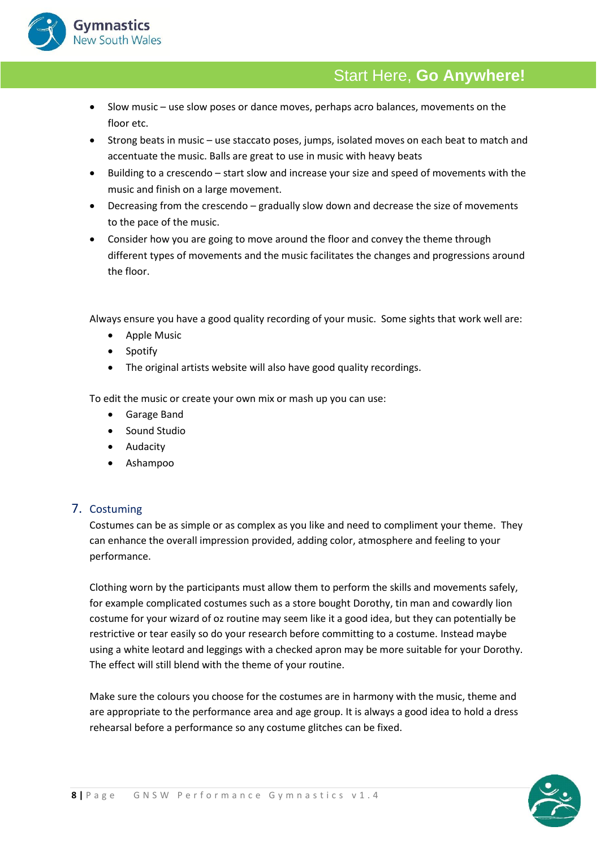

- Slow music use slow poses or dance moves, perhaps acro balances, movements on the floor etc.
- Strong beats in music use staccato poses, jumps, isolated moves on each beat to match and accentuate the music. Balls are great to use in music with heavy beats
- Building to a crescendo start slow and increase your size and speed of movements with the music and finish on a large movement.
- Decreasing from the crescendo gradually slow down and decrease the size of movements to the pace of the music.
- Consider how you are going to move around the floor and convey the theme through different types of movements and the music facilitates the changes and progressions around the floor.

Always ensure you have a good quality recording of your music. Some sights that work well are:

- Apple Music
- Spotify
- The original artists website will also have good quality recordings.

To edit the music or create your own mix or mash up you can use:

- Garage Band
- Sound Studio
- Audacity
- Ashampoo

### 7. Costuming

Costumes can be as simple or as complex as you like and need to compliment your theme. They can enhance the overall impression provided, adding color, atmosphere and feeling to your performance.

Clothing worn by the participants must allow them to perform the skills and movements safely, for example complicated costumes such as a store bought Dorothy, tin man and cowardly lion costume for your wizard of oz routine may seem like it a good idea, but they can potentially be restrictive or tear easily so do your research before committing to a costume. Instead maybe using a white leotard and leggings with a checked apron may be more suitable for your Dorothy. The effect will still blend with the theme of your routine.

Make sure the colours you choose for the costumes are in harmony with the music, theme and are appropriate to the performance area and age group. It is always a good idea to hold a dress rehearsal before a performance so any costume glitches can be fixed.

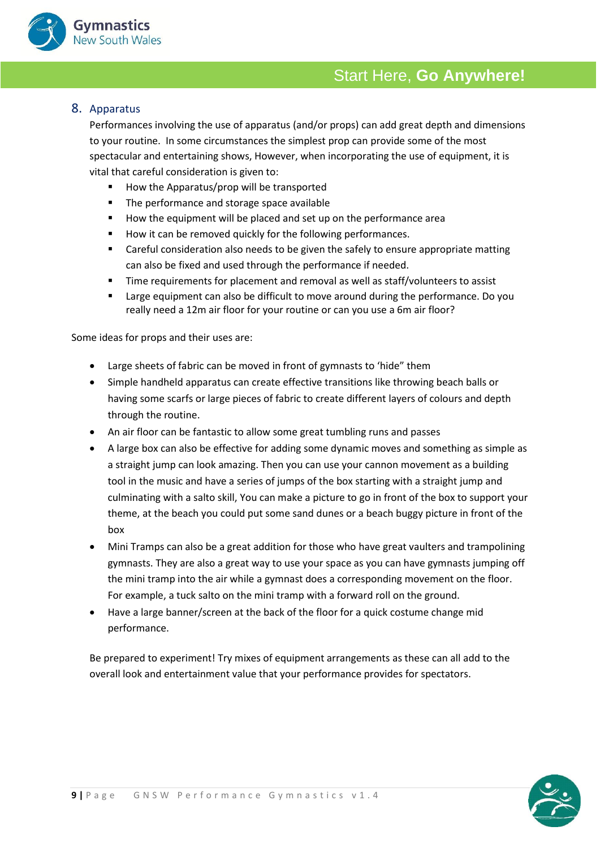

### 8. Apparatus

Performances involving the use of apparatus (and/or props) can add great depth and dimensions to your routine. In some circumstances the simplest prop can provide some of the most spectacular and entertaining shows, However, when incorporating the use of equipment, it is vital that careful consideration is given to:

- How the Apparatus/prop will be transported
- The performance and storage space available
- How the equipment will be placed and set up on the performance area
- How it can be removed quickly for the following performances.
- Careful consideration also needs to be given the safely to ensure appropriate matting can also be fixed and used through the performance if needed.
- **Time requirements for placement and removal as well as staff/volunteers to assist**
- Large equipment can also be difficult to move around during the performance. Do you really need a 12m air floor for your routine or can you use a 6m air floor?

Some ideas for props and their uses are:

- Large sheets of fabric can be moved in front of gymnasts to 'hide" them
- Simple handheld apparatus can create effective transitions like throwing beach balls or having some scarfs or large pieces of fabric to create different layers of colours and depth through the routine.
- An air floor can be fantastic to allow some great tumbling runs and passes
- A large box can also be effective for adding some dynamic moves and something as simple as a straight jump can look amazing. Then you can use your cannon movement as a building tool in the music and have a series of jumps of the box starting with a straight jump and culminating with a salto skill, You can make a picture to go in front of the box to support your theme, at the beach you could put some sand dunes or a beach buggy picture in front of the box
- Mini Tramps can also be a great addition for those who have great vaulters and trampolining gymnasts. They are also a great way to use your space as you can have gymnasts jumping off the mini tramp into the air while a gymnast does a corresponding movement on the floor. For example, a tuck salto on the mini tramp with a forward roll on the ground.
- Have a large banner/screen at the back of the floor for a quick costume change mid performance.

Be prepared to experiment! Try mixes of equipment arrangements as these can all add to the overall look and entertainment value that your performance provides for spectators.

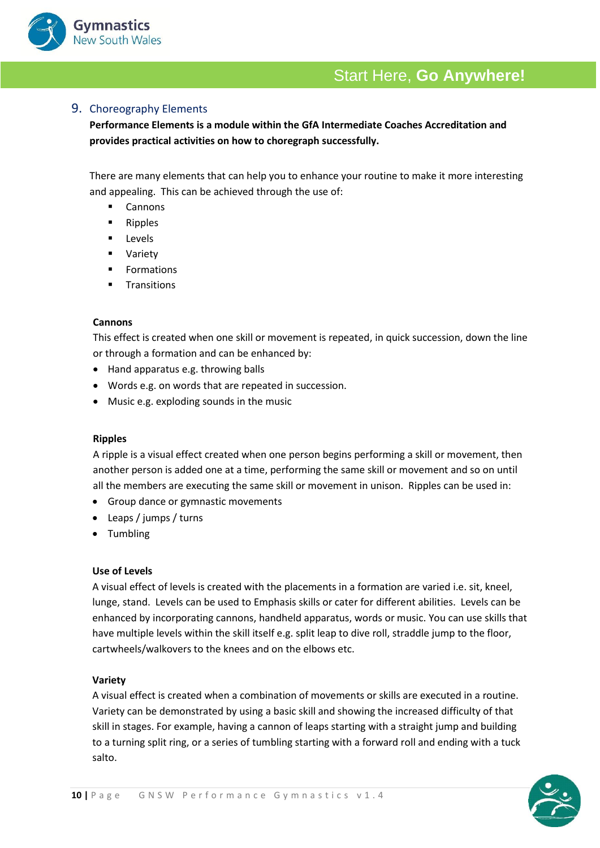

### 9. Choreography Elements

**Performance Elements is a module within the GfA Intermediate Coaches Accreditation and provides practical activities on how to choregraph successfully.** 

There are many elements that can help you to enhance your routine to make it more interesting and appealing. This can be achieved through the use of:

- Cannons
- Ripples
- Levels
- Variety
- Formations
- Transitions

#### **Cannons**

This effect is created when one skill or movement is repeated, in quick succession, down the line or through a formation and can be enhanced by:

- Hand apparatus e.g. throwing balls
- Words e.g. on words that are repeated in succession.
- Music e.g. exploding sounds in the music

#### **Ripples**

A ripple is a visual effect created when one person begins performing a skill or movement, then another person is added one at a time, performing the same skill or movement and so on until all the members are executing the same skill or movement in unison. Ripples can be used in:

- Group dance or gymnastic movements
- Leaps / jumps / turns
- Tumbling

#### **Use of Levels**

A visual effect of levels is created with the placements in a formation are varied i.e. sit, kneel, lunge, stand. Levels can be used to Emphasis skills or cater for different abilities. Levels can be enhanced by incorporating cannons, handheld apparatus, words or music. You can use skills that have multiple levels within the skill itself e.g. split leap to dive roll, straddle jump to the floor, cartwheels/walkovers to the knees and on the elbows etc.

#### **Variety**

A visual effect is created when a combination of movements or skills are executed in a routine. Variety can be demonstrated by using a basic skill and showing the increased difficulty of that skill in stages. For example, having a cannon of leaps starting with a straight jump and building to a turning split ring, or a series of tumbling starting with a forward roll and ending with a tuck salto.

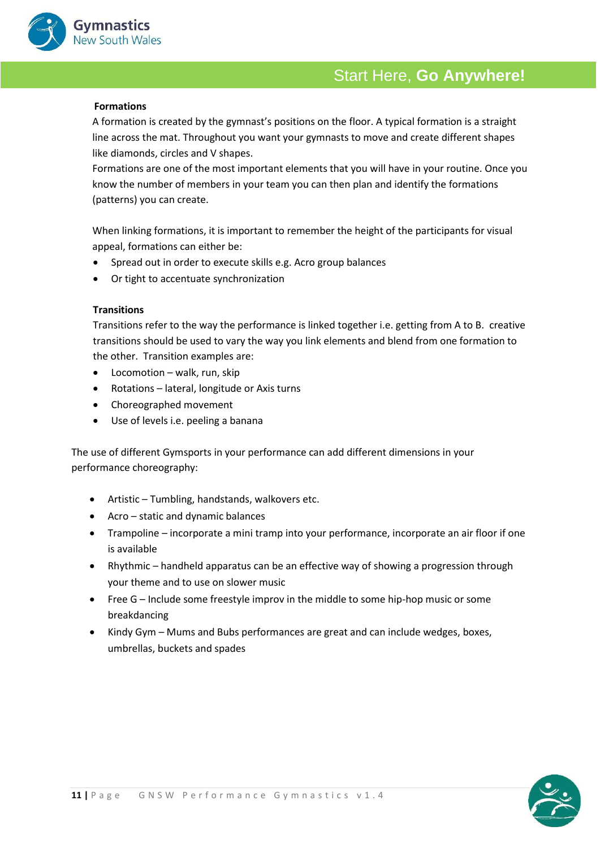

#### **Formations**

A formation is created by the gymnast's positions on the floor. A typical formation is a straight line across the mat. Throughout you want your gymnasts to move and create different shapes like diamonds, circles and V shapes.

Formations are one of the most important elements that you will have in your routine. Once you know the number of members in your team you can then plan and identify the formations (patterns) you can create.

When linking formations, it is important to remember the height of the participants for visual appeal, formations can either be:

- Spread out in order to execute skills e.g. Acro group balances
- Or tight to accentuate synchronization

### **Transitions**

Transitions refer to the way the performance is linked together i.e. getting from A to B. creative transitions should be used to vary the way you link elements and blend from one formation to the other. Transition examples are:

- Locomotion walk, run, skip
- Rotations lateral, longitude or Axis turns
- Choreographed movement
- Use of levels i.e. peeling a banana

The use of different Gymsports in your performance can add different dimensions in your performance choreography:

- Artistic Tumbling, handstands, walkovers etc.
- Acro static and dynamic balances
- Trampoline incorporate a mini tramp into your performance, incorporate an air floor if one is available
- Rhythmic handheld apparatus can be an effective way of showing a progression through your theme and to use on slower music
- Free G Include some freestyle improv in the middle to some hip-hop music or some breakdancing
- Kindy Gym Mums and Bubs performances are great and can include wedges, boxes, umbrellas, buckets and spades

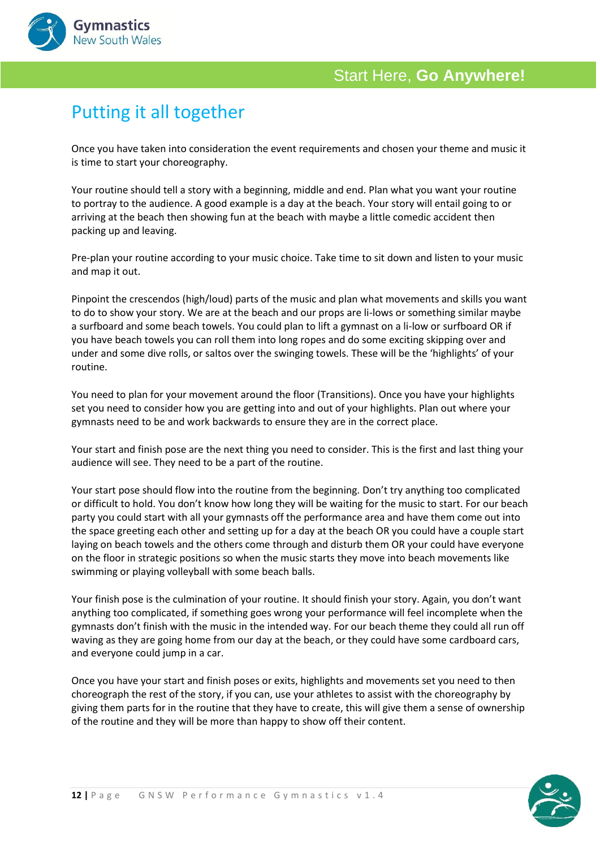

# Putting it all together

Once you have taken into consideration the event requirements and chosen your theme and music it is time to start your choreography.

Your routine should tell a story with a beginning, middle and end. Plan what you want your routine to portray to the audience. A good example is a day at the beach. Your story will entail going to or arriving at the beach then showing fun at the beach with maybe a little comedic accident then packing up and leaving.

Pre-plan your routine according to your music choice. Take time to sit down and listen to your music and map it out.

Pinpoint the crescendos (high/loud) parts of the music and plan what movements and skills you want to do to show your story. We are at the beach and our props are li-lows or something similar maybe a surfboard and some beach towels. You could plan to lift a gymnast on a li-low or surfboard OR if you have beach towels you can roll them into long ropes and do some exciting skipping over and under and some dive rolls, or saltos over the swinging towels. These will be the 'highlights' of your routine.

You need to plan for your movement around the floor (Transitions). Once you have your highlights set you need to consider how you are getting into and out of your highlights. Plan out where your gymnasts need to be and work backwards to ensure they are in the correct place.

Your start and finish pose are the next thing you need to consider. This is the first and last thing your audience will see. They need to be a part of the routine.

Your start pose should flow into the routine from the beginning. Don't try anything too complicated or difficult to hold. You don't know how long they will be waiting for the music to start. For our beach party you could start with all your gymnasts off the performance area and have them come out into the space greeting each other and setting up for a day at the beach OR you could have a couple start laying on beach towels and the others come through and disturb them OR your could have everyone on the floor in strategic positions so when the music starts they move into beach movements like swimming or playing volleyball with some beach balls.

Your finish pose is the culmination of your routine. It should finish your story. Again, you don't want anything too complicated, if something goes wrong your performance will feel incomplete when the gymnasts don't finish with the music in the intended way. For our beach theme they could all run off waving as they are going home from our day at the beach, or they could have some cardboard cars, and everyone could jump in a car.

Once you have your start and finish poses or exits, highlights and movements set you need to then choreograph the rest of the story, if you can, use your athletes to assist with the choreography by giving them parts for in the routine that they have to create, this will give them a sense of ownership of the routine and they will be more than happy to show off their content.

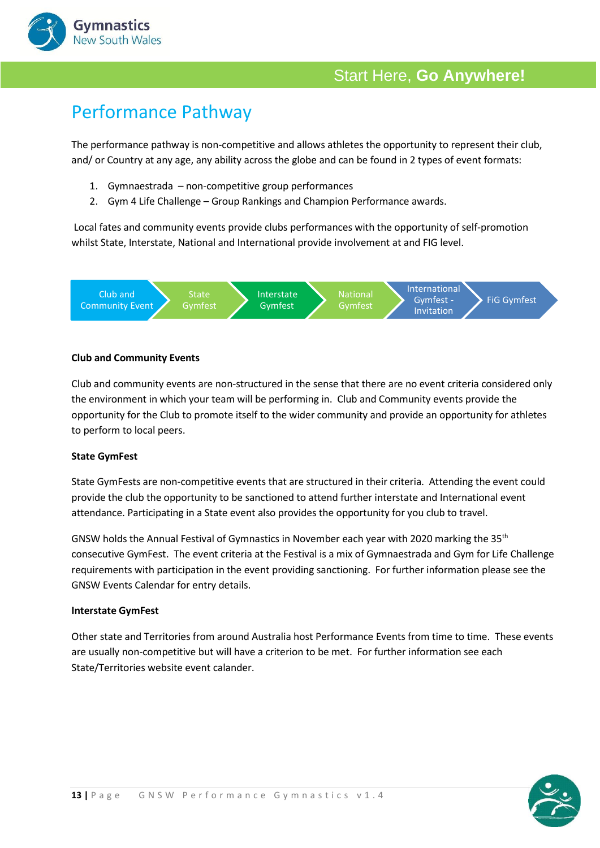

# Performance Pathway

The performance pathway is non-competitive and allows athletes the opportunity to represent their club, and/ or Country at any age, any ability across the globe and can be found in 2 types of event formats:

- 1. Gymnaestrada non-competitive group performances
- 2. Gym 4 Life Challenge Group Rankings and Champion Performance awards.

Local fates and community events provide clubs performances with the opportunity of self-promotion whilst State, Interstate, National and International provide involvement at and FIG level.



### **Club and Community Events**

Club and community events are non-structured in the sense that there are no event criteria considered only the environment in which your team will be performing in. Club and Community events provide the opportunity for the Club to promote itself to the wider community and provide an opportunity for athletes to perform to local peers.

### **State GymFest**

State GymFests are non-competitive events that are structured in their criteria. Attending the event could provide the club the opportunity to be sanctioned to attend further interstate and International event attendance. Participating in a State event also provides the opportunity for you club to travel.

GNSW holds the Annual Festival of Gymnastics in November each year with 2020 marking the 35th consecutive GymFest. The event criteria at the Festival is a mix of Gymnaestrada and Gym for Life Challenge requirements with participation in the event providing sanctioning. For further information please see the GNSW Events Calendar for entry details.

### **Interstate GymFest**

Other state and Territories from around Australia host Performance Events from time to time. These events are usually non-competitive but will have a criterion to be met. For further information see each State/Territories website event calander.

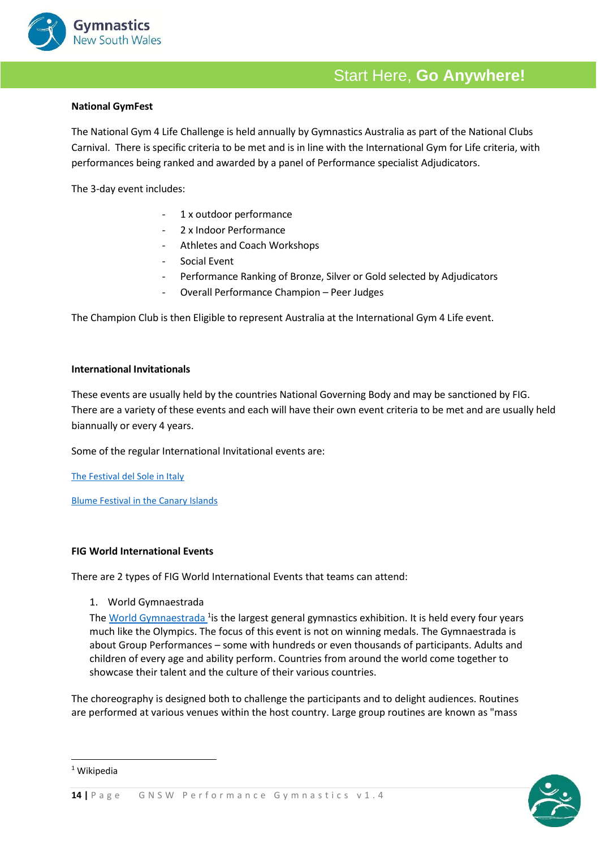

### **National GymFest**

The National Gym 4 Life Challenge is held annually by Gymnastics Australia as part of the National Clubs Carnival. There is specific criteria to be met and is in line with the International Gym for Life criteria, with performances being ranked and awarded by a panel of Performance specialist Adjudicators.

The 3-day event includes:

- 1 x outdoor performance
- 2 x Indoor Performance
- Athletes and Coach Workshops
- Social Event
- Performance Ranking of Bronze, Silver or Gold selected by Adjudicators
- Overall Performance Champion Peer Judges

The Champion Club is then Eligible to represent Australia at the International Gym 4 Life event.

#### **International Invitationals**

These events are usually held by the countries National Governing Body and may be sanctioned by FIG. There are a variety of these events and each will have their own event criteria to be met and are usually held biannually or every 4 years.

Some of the regular International Invitational events are:

[The Festival del Sole in Italy](https://www.festivaldelsole.it/)

[Blume Festival in the Canary Islands](https://www.blumegrancanaria.com/)

### **FIG World International Events**

There are 2 types of FIG World International Events that teams can attend:

1. World Gymnaestrada

The <u>[World Gymnaestrada](https://www.gymnastics.sport/site/events/detail.php?id=16240#loaded) <sup>1</sup>is the largest general [gymnastics](https://en.wikipedia.org/wiki/Gymnastics) exhibition. It is held every four years</u> much like the [Olympics.](https://en.wikipedia.org/wiki/Olympics) The focus of this event is not on winning medals. The Gymnaestrada is about Group Performances – some with hundreds or even thousands of participants. Adults and children of every age and ability perform. Countries from around the world come together to showcase their talent and the culture of their various countries.

The choreography is designed both to challenge the participants and to delight audiences. Routines are performed at various venues within the host country. Large group routines are known as "mass

<sup>1</sup> Wikipedia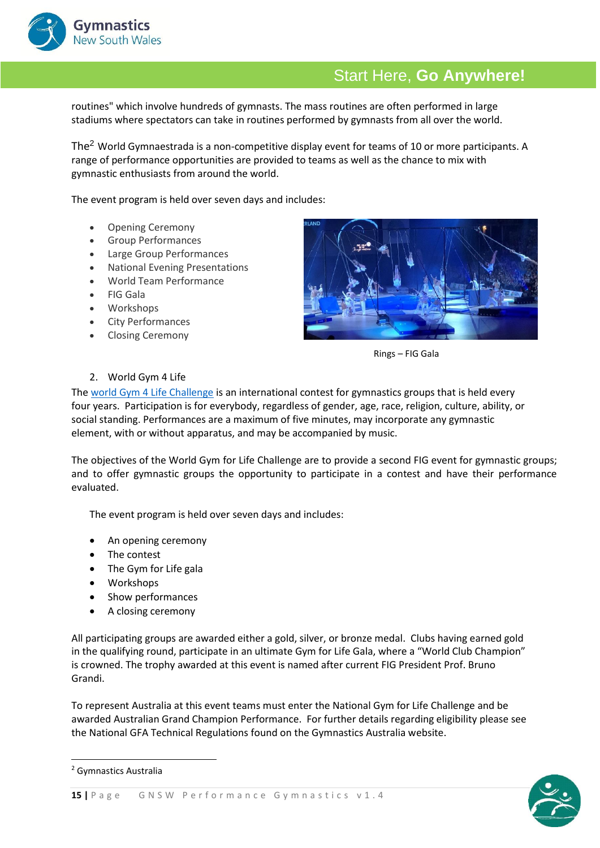

routines" which involve hundreds of gymnasts. The mass routines are often performed in large stadiums where spectators can take in routines performed by gymnasts from all over the world.

The<sup>2</sup> World Gymnaestrada is a non-competitive display event for teams of 10 or more participants. A range of performance opportunities are provided to teams as well as the chance to mix with gymnastic enthusiasts from around the world.

The event program is held over seven days and includes:

- Opening Ceremony
- Group Performances
- Large Group Performances
- National Evening Presentations
- World Team Performance
- FIG Gala
- Workshops
- City Performances
- Closing Ceremony



Rings – FIG Gala

#### 2. World Gym 4 Life

The [world Gym 4 Life Challenge](https://www.gymnastics.sport/site/events/detail.php?id=16192#loaded) is an international contest for gymnastics groups that is held every four years. Participation is for everybody, regardless of gender, age, race, religion, culture, ability, or social standing. Performances are a maximum of five minutes, may incorporate any gymnastic element, with or without apparatus, and may be accompanied by music.

The objectives of the World Gym for Life Challenge are to provide a second FIG event for gymnastic groups; and to offer gymnastic groups the opportunity to participate in a contest and have their performance evaluated.

The event program is held over seven days and includes:

- An opening ceremony
- The contest
- The Gym for Life gala
- Workshops
- Show performances
- A closing ceremony

All participating groups are awarded either a gold, silver, or bronze medal. Clubs having earned gold in the qualifying round, participate in an ultimate Gym for Life Gala, where a "World Club Champion" is crowned. The trophy awarded at this event is named after current FIG President Prof. Bruno Grandi.

To represent Australia at this event teams must enter the National Gym for Life Challenge and be awarded Australian Grand Champion Performance. For further details regarding eligibility please see the National GFA Technical Regulations found on the Gymnastics Australia website.